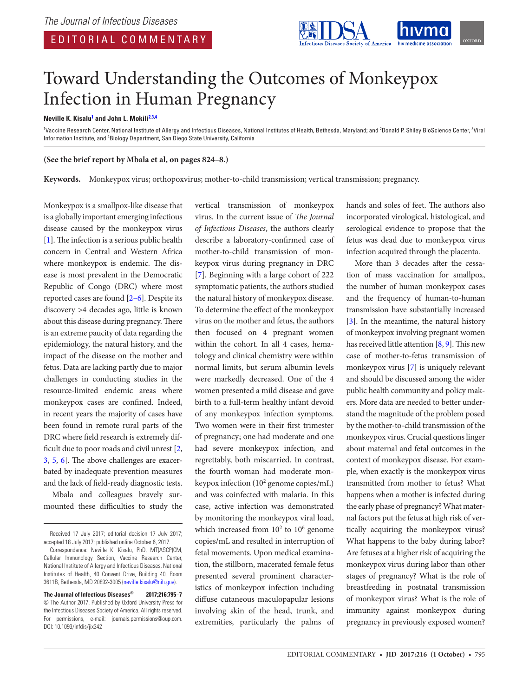

# Toward Understanding the Outcomes of Monkeypox Infection in Human Pregnancy

#### **Neville K. Kisalu1 and John L. Mokili2,3,4**

<sup>1</sup>Vaccine Research Center, National Institute of Allergy and Infectious Diseases, National Institutes of Health, Bethesda, Maryland; and <sup>2</sup>Donald P. Shiley BioScience Center, <sup>3</sup>Viral Information Institute, and <sup>4</sup>Biology Department, San Diego State University, California

#### **(See the brief report by Mbala et al, on pages 824–8.)**

**Keywords.** Monkeypox virus; orthopoxvirus; mother-to-child transmission; vertical transmission; pregnancy.

Monkeypox is a smallpox-like disease that is a globally important emerging infectious disease caused by the monkeypox virus [1]. The infection is a serious public health concern in Central and Western Africa where monkeypox is endemic. The disease is most prevalent in the Democratic Republic of Congo (DRC) where most reported cases are found [2–6]. Despite its discovery >4 decades ago, little is known about this disease during pregnancy. There is an extreme paucity of data regarding the epidemiology, the natural history, and the impact of the disease on the mother and fetus. Data are lacking partly due to major challenges in conducting studies in the resource-limited endemic areas where monkeypox cases are confined. Indeed, in recent years the majority of cases have been found in remote rural parts of the DRC where field research is extremely difficult due to poor roads and civil unrest [2, 3, 5, 6]. The above challenges are exacerbated by inadequate prevention measures and the lack of field-ready diagnostic tests.

Mbala and colleagues bravely surmounted these difficulties to study the vertical transmission of monkeypox virus. In the current issue of *The Journal of Infectious Diseases*, the authors clearly describe a laboratory-confirmed case of mother-to-child transmission of monkeypox virus during pregnancy in DRC [7]. Beginning with a large cohort of 222 symptomatic patients, the authors studied the natural history of monkeypox disease. To determine the effect of the monkeypox virus on the mother and fetus, the authors then focused on 4 pregnant women within the cohort. In all 4 cases, hematology and clinical chemistry were within normal limits, but serum albumin levels were markedly decreased. One of the 4 women presented a mild disease and gave birth to a full-term healthy infant devoid of any monkeypox infection symptoms. Two women were in their first trimester of pregnancy; one had moderate and one had severe monkeypox infection, and regrettably, both miscarried. In contrast, the fourth woman had moderate monkeypox infection (102 genome copies/mL) and was coinfected with malaria. In this case, active infection was demonstrated by monitoring the monkeypox viral load, which increased from  $10^2$  to  $10^6$  genome copies/mL and resulted in interruption of fetal movements. Upon medical examination, the stillborn, macerated female fetus presented several prominent characteristics of monkeypox infection including diffuse cutaneous maculopapular lesions involving skin of the head, trunk, and extremities, particularly the palms of hands and soles of feet. The authors also incorporated virological, histological, and serological evidence to propose that the fetus was dead due to monkeypox virus infection acquired through the placenta.

More than 3 decades after the cessation of mass vaccination for smallpox, the number of human monkeypox cases and the frequency of human-to-human transmission have substantially increased [3]. In the meantime, the natural history of monkeypox involving pregnant women has received little attention [8, 9]. This new case of mother-to-fetus transmission of monkeypox virus [7] is uniquely relevant and should be discussed among the wider public health community and policy makers. More data are needed to better understand the magnitude of the problem posed by the mother-to-child transmission of the monkeypox virus. Crucial questions linger about maternal and fetal outcomes in the context of monkeypox disease. For example, when exactly is the monkeypox virus transmitted from mother to fetus? What happens when a mother is infected during the early phase of pregnancy? What maternal factors put the fetus at high risk of vertically acquiring the monkeypox virus? What happens to the baby during labor? Are fetuses at a higher risk of acquiring the monkeypox virus during labor than other stages of pregnancy? What is the role of breastfeeding in postnatal transmission of monkeypox virus? What is the role of immunity against monkeypox during pregnancy in previously exposed women?

Received 17 July 2017; editorial decision 17 July 2017; accepted 18 July 2017; published online October 6, 2017.

Correspondence: Neville K. Kisalu, PhD, MT(ASCP)CM, Cellular Immunology Section, Vaccine Research Center, National Institute of Allergy and Infectious Diseases, National Institutes of Health, 40 Convent Drive, Building 40, Room 3611B, Bethesda, MD 20892-3005 (neville.kisalu@nih.gov).

**The Journal of Infectious Diseases® 2017;216:795–7** © The Author 2017. Published by Oxford University Press for the Infectious Diseases Society of America. All rights reserved. For permissions, e-mail: journals.permissions@oup.com. DOI: 10.1093/infdis/jix342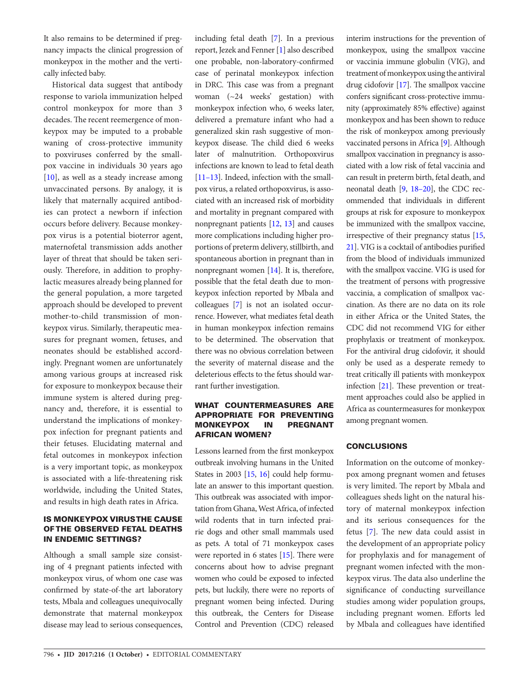It also remains to be determined if pregnancy impacts the clinical progression of monkeypox in the mother and the vertically infected baby.

Historical data suggest that antibody response to variola immunization helped control monkeypox for more than 3 decades. The recent reemergence of monkeypox may be imputed to a probable waning of cross-protective immunity to poxviruses conferred by the smallpox vaccine in individuals 30 years ago [10], as well as a steady increase among unvaccinated persons. By analogy, it is likely that maternally acquired antibodies can protect a newborn if infection occurs before delivery. Because monkeypox virus is a potential bioterror agent, maternofetal transmission adds another layer of threat that should be taken seriously. Therefore, in addition to prophylactic measures already being planned for the general population, a more targeted approach should be developed to prevent mother-to-child transmission of monkeypox virus. Similarly, therapeutic measures for pregnant women, fetuses, and neonates should be established accordingly. Pregnant women are unfortunately among various groups at increased risk for exposure to monkeypox because their immune system is altered during pregnancy and, therefore, it is essential to understand the implications of monkeypox infection for pregnant patients and their fetuses. Elucidating maternal and fetal outcomes in monkeypox infection is a very important topic, as monkeypox is associated with a life-threatening risk worldwide, including the United States, and results in high death rates in Africa.

## **IS MONKEYPOX VIRUSTHE CAUSE** OF THE OBSERVED FETAL DEATHS IN ENDEMIC SETTINGS?

Although a small sample size consisting of 4 pregnant patients infected with monkeypox virus, of whom one case was confirmed by state-of-the art laboratory tests, Mbala and colleagues unequivocally demonstrate that maternal monkeypox disease may lead to serious consequences, including fetal death [7]. In a previous report, Jezek and Fenner [1] also described one probable, non-laboratory-confirmed case of perinatal monkeypox infection in DRC. This case was from a pregnant woman (~24 weeks' gestation) with monkeypox infection who, 6 weeks later, delivered a premature infant who had a generalized skin rash suggestive of monkeypox disease. The child died 6 weeks later of malnutrition. Orthopoxvirus infections are known to lead to fetal death [11–13]. Indeed, infection with the smallpox virus, a related orthopoxvirus, is associated with an increased risk of morbidity and mortality in pregnant compared with nonpregnant patients [12, 13] and causes more complications including higher proportions of preterm delivery, stillbirth, and spontaneous abortion in pregnant than in nonpregnant women [14]. It is, therefore, possible that the fetal death due to monkeypox infection reported by Mbala and colleagues [7] is not an isolated occurrence. However, what mediates fetal death in human monkeypox infection remains to be determined. The observation that there was no obvious correlation between the severity of maternal disease and the deleterious effects to the fetus should warrant further investigation.

#### WHAT COUNTERMEASURES ARE APPROPRIATE FOR PREVENTING MONKEYPOX IN PREGNANT AFRICAN WOMEN?

Lessons learned from the first monkeypox outbreak involving humans in the United States in 2003 [15, 16] could help formulate an answer to this important question. This outbreak was associated with importation from Ghana, West Africa, of infected wild rodents that in turn infected prairie dogs and other small mammals used as pets. A total of 71 monkeypox cases were reported in 6 states [15]. There were concerns about how to advise pregnant women who could be exposed to infected pets, but luckily, there were no reports of pregnant women being infected. During this outbreak, the Centers for Disease Control and Prevention (CDC) released

interim instructions for the prevention of monkeypox, using the smallpox vaccine or vaccinia immune globulin (VIG), and treatment of monkeypox using the antiviral drug cidofovir [17]. The smallpox vaccine confers significant cross-protective immunity (approximately 85% effective) against monkeypox and has been shown to reduce the risk of monkeypox among previously vaccinated persons in Africa [9]. Although smallpox vaccination in pregnancy is associated with a low risk of fetal vaccinia and can result in preterm birth, fetal death, and neonatal death [9, 18–20], the CDC recommended that individuals in different groups at risk for exposure to monkeypox be immunized with the smallpox vaccine, irrespective of their pregnancy status [15, 21]. VIG is a cocktail of antibodies purified from the blood of individuals immunized with the smallpox vaccine. VIG is used for the treatment of persons with progressive vaccinia, a complication of smallpox vaccination. As there are no data on its role in either Africa or the United States, the CDC did not recommend VIG for either prophylaxis or treatment of monkeypox. For the antiviral drug cidofovir, it should only be used as a desperate remedy to treat critically ill patients with monkeypox infection [21]. These prevention or treatment approaches could also be applied in Africa as countermeasures for monkeypox among pregnant women.

### **CONCLUSIONS**

Information on the outcome of monkeypox among pregnant women and fetuses is very limited. The report by Mbala and colleagues sheds light on the natural history of maternal monkeypox infection and its serious consequences for the fetus [7]. The new data could assist in the development of an appropriate policy for prophylaxis and for management of pregnant women infected with the monkeypox virus. The data also underline the significance of conducting surveillance studies among wider population groups, including pregnant women. Efforts led by Mbala and colleagues have identified